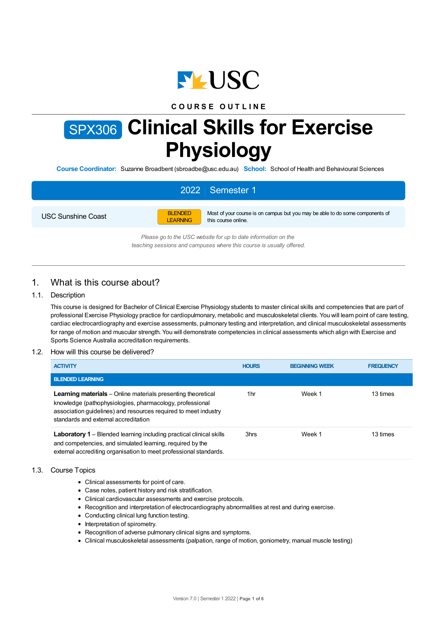

### **C O U R S E O U T L I N E**

# SPX306 **Clinical Skills for Exercise Physiology**

**Course Coordinator:** Suzanne Broadbent (sbroadbe@usc.edu.au) **School:** School of Health and Behavioural Sciences

# 2022 Semester 1

USC Sunshine Coast



Most of your course is on campus but you may be able to do some components of this course online.

*Please go to the USC website for up to date information on the teaching sessions and campuses where this course is usually offered.*

# 1. What is this course about?

### 1.1. Description

This course is designed for Bachelor of Clinical Exercise Physiology students to master clinical skills and competencies that are part of professional Exercise Physiology practice for cardiopulmonary, metabolic and musculoskeletal clients. You will learn point of care testing, cardiac electrocardiography and exercise assessments, pulmonary testing and interpretation, and clinical musculoskeletal assessments for range of motion and muscular strength. You will demonstrate competencies in clinical assessments which align with Exercise and Sports Science Australia accreditation requirements.

### 1.2. How will this course be delivered?

| <b>ACTIVITY</b>                                                                                                                                                                                                                            | <b>HOURS</b> | <b>BEGINNING WEEK</b> | <b>FREQUENCY</b> |
|--------------------------------------------------------------------------------------------------------------------------------------------------------------------------------------------------------------------------------------------|--------------|-----------------------|------------------|
| <b>BLENDED LEARNING</b>                                                                                                                                                                                                                    |              |                       |                  |
| <b>Learning materials</b> – Online materials presenting theoretical<br>knowledge (pathophysiologies, pharmacology, professional<br>association quidelines) and resources required to meet industry<br>standards and external accreditation | 1hr          | Week 1                | 13 times         |
| <b>Laboratory 1</b> – Blended learning including practical clinical skills<br>and competencies, and simulated learning, required by the<br>external accrediting organisation to meet professional standards.                               | 3hrs         | Week 1                | 13 times         |

### 1.3. Course Topics

- Clinical assessments for point of care.
- Case notes, patient history and risk stratification.
- Clinical cardiovascular assessments and exercise protocols.
- Recognition and interpretation of electrocardiography abnormalities at rest and during exercise.
- Conducting clinical lung function testing.
- Interpretation of spirometry.
- Recognition of adverse pulmonary clinical signs and symptoms.
- Clinical musculoskeletal assessments (palpation, range of motion, goniometry, manual muscle testing)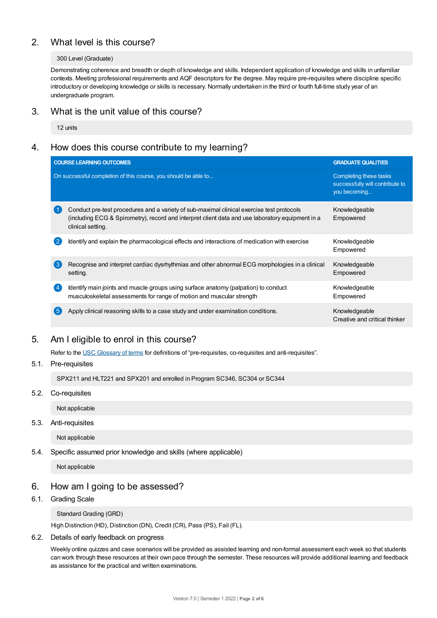# 2. What level is this course?

### 300 Level (Graduate)

Demonstrating coherence and breadth or depth of knowledge and skills. Independent application of knowledge and skills in unfamiliar contexts. Meeting professional requirements and AQF descriptors for the degree. May require pre-requisites where discipline specific introductory or developing knowledge or skills is necessary. Normally undertaken in the third or fourth full-time study year of an undergraduate program.

# 3. What is the unit value of this course?

12 units

# 4. How does this course contribute to my learning?

|                  | <b>COURSE LEARNING OUTCOMES</b>                                                                                                                                                                                    | <b>GRADUATE QUALITIES</b>                                                 |
|------------------|--------------------------------------------------------------------------------------------------------------------------------------------------------------------------------------------------------------------|---------------------------------------------------------------------------|
|                  | On successful completion of this course, you should be able to                                                                                                                                                     | Completing these tasks<br>successfully will contribute to<br>you becoming |
|                  | Conduct pre-test procedures and a variety of sub-maximal clinical exercise test protocols<br>(including ECG & Spirometry), record and interpret client data and use laboratory equipment in a<br>clinical setting. | Knowledgeable<br>Empowered                                                |
| $\overline{2}$   | Identify and explain the pharmacological effects and interactions of medication with exercise                                                                                                                      | Knowledgeable<br>Empowered                                                |
| 3                | Recognise and interpret cardiac dysrhythmias and other abnormal ECG morphologies in a clinical<br>setting.                                                                                                         | Knowledgeable<br>Empowered                                                |
| $\left(4\right)$ | Identify main joints and muscle groups using surface anatomy (palpation) to conduct<br>musculoskeletal assessments for range of motion and muscular strength                                                       | Knowledgeable<br>Empowered                                                |
| 5                | Apply clinical reasoning skills to a case study and under examination conditions.                                                                                                                                  | Knowledgeable<br>Creative and critical thinker                            |

# 5. Am Ieligible to enrol in this course?

Refer to the USC [Glossary](https://www.usc.edu.au/about/policies-and-procedures/glossary-of-terms-for-policy-and-procedures) of terms for definitions of "pre-requisites, co-requisites and anti-requisites".

5.1. Pre-requisites

SPX211 and HLT221 and SPX201 and enrolled in Program SC346, SC304 or SC344

5.2. Co-requisites

Not applicable

5.3. Anti-requisites

Not applicable

5.4. Specific assumed prior knowledge and skills (where applicable)

Not applicable

# 6. How am Igoing to be assessed?

6.1. Grading Scale

Standard Grading (GRD)

High Distinction (HD), Distinction (DN), Credit (CR), Pass (PS), Fail (FL).

### 6.2. Details of early feedback on progress

Weekly online quizzes and case scenarios will be provided as assisted learning and non-formal assessment each week so that students can work through these resources at their own pace through the semester. These resources will provide additional learning and feedback as assistance for the practical and written examinations.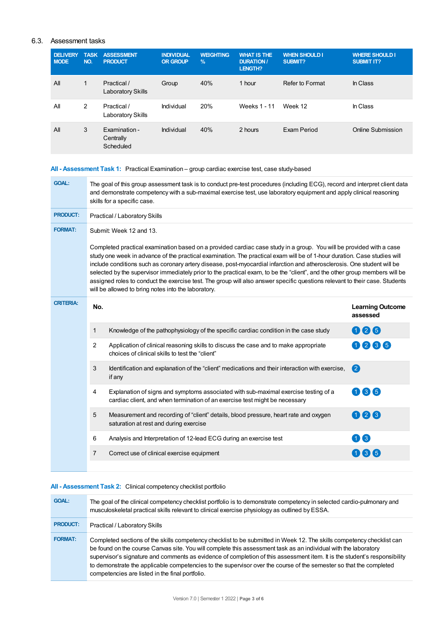### 6.3. Assessment tasks

| <b>DELIVERY</b><br><b>NODE</b> | <b>TASK</b><br>NO. | <b>ASSESSMENT</b><br><b>PRODUCT</b>     | <b>INDIVIDUAL</b><br><b>OR GROUP</b> | <b>WEIGHTING</b><br>$\%$ | <b>WHAT IS THE</b><br><b>DURATION /</b><br>LENGTH? | <b>WHEN SHOULD I</b><br>SUBMIT? | <b>WHERE SHOULD I</b><br><b>SUBMIT IT?</b> |
|--------------------------------|--------------------|-----------------------------------------|--------------------------------------|--------------------------|----------------------------------------------------|---------------------------------|--------------------------------------------|
| All                            | $\mathbf{1}$       | Practical /<br><b>Laboratory Skills</b> | Group                                | 40%                      | 1 hour                                             | Refer to Format                 | In Class                                   |
| All                            | 2                  | Practical /<br>Laboratory Skills        | Individual                           | 20%                      | Weeks 1 - 11                                       | Week 12                         | In Class                                   |
| All                            | 3                  | Examination -<br>Centrally<br>Scheduled | Individual                           | 40%                      | 2 hours                                            | Exam Period                     | Online Submission                          |

### **All - Assessment Task 1:** Practical Examination – group cardiac exercise test, case study-based

| <b>GOAL:</b>     | The goal of this group assessment task is to conduct pre-test procedures (including ECG), record and interpret client data<br>and demonstrate competency with a sub-maximal exercise test, use laboratory equipment and apply clinical reasoning<br>skills for a specific case.                                                                                                                                                                                                                                                                                                                                                                                                                 |                                                                                                                                                                    |                                     |  |  |  |
|------------------|-------------------------------------------------------------------------------------------------------------------------------------------------------------------------------------------------------------------------------------------------------------------------------------------------------------------------------------------------------------------------------------------------------------------------------------------------------------------------------------------------------------------------------------------------------------------------------------------------------------------------------------------------------------------------------------------------|--------------------------------------------------------------------------------------------------------------------------------------------------------------------|-------------------------------------|--|--|--|
| <b>PRODUCT:</b>  | Practical / Laboratory Skills                                                                                                                                                                                                                                                                                                                                                                                                                                                                                                                                                                                                                                                                   |                                                                                                                                                                    |                                     |  |  |  |
| <b>FORMAT:</b>   | Submit: Week 12 and 13.                                                                                                                                                                                                                                                                                                                                                                                                                                                                                                                                                                                                                                                                         |                                                                                                                                                                    |                                     |  |  |  |
|                  | Completed practical examination based on a provided cardiac case study in a group. You will be provided with a case<br>study one week in advance of the practical examination. The practical exam will be of 1-hour duration. Case studies will<br>include conditions such as coronary artery disease, post-myocardial infarction and atherosclerosis. One student will be<br>selected by the supervisor immediately prior to the practical exam, to be the "client", and the other group members will be<br>assigned roles to conduct the exercise test. The group will also answer specific questions relevant to their case. Students<br>will be allowed to bring notes into the laboratory. |                                                                                                                                                                    |                                     |  |  |  |
| <b>CRITERIA:</b> | No.                                                                                                                                                                                                                                                                                                                                                                                                                                                                                                                                                                                                                                                                                             |                                                                                                                                                                    | <b>Learning Outcome</b><br>assessed |  |  |  |
|                  | $\mathbf{1}$                                                                                                                                                                                                                                                                                                                                                                                                                                                                                                                                                                                                                                                                                    | Knowledge of the pathophysiology of the specific cardiac condition in the case study                                                                               | 006                                 |  |  |  |
|                  | $\overline{2}$                                                                                                                                                                                                                                                                                                                                                                                                                                                                                                                                                                                                                                                                                  | Application of clinical reasoning skills to discuss the case and to make appropriate<br>choices of clinical skills to test the "client"                            | 0066                                |  |  |  |
|                  | 3                                                                                                                                                                                                                                                                                                                                                                                                                                                                                                                                                                                                                                                                                               | Identification and explanation of the "client" medications and their interaction with exercise,<br>if any                                                          | $\bullet$                           |  |  |  |
|                  | 4                                                                                                                                                                                                                                                                                                                                                                                                                                                                                                                                                                                                                                                                                               | Explanation of signs and symptoms associated with sub-maximal exercise testing of a<br>cardiac client, and when termination of an exercise test might be necessary | 066                                 |  |  |  |
|                  | 5                                                                                                                                                                                                                                                                                                                                                                                                                                                                                                                                                                                                                                                                                               | Measurement and recording of "client" details, blood pressure, heart rate and oxygen<br>saturation at rest and during exercise                                     | 006                                 |  |  |  |
|                  | 6                                                                                                                                                                                                                                                                                                                                                                                                                                                                                                                                                                                                                                                                                               | Analysis and Interpretation of 12-lead ECG during an exercise test                                                                                                 | 00                                  |  |  |  |
|                  | $\overline{7}$                                                                                                                                                                                                                                                                                                                                                                                                                                                                                                                                                                                                                                                                                  | Correct use of clinical exercise equipment                                                                                                                         | 066                                 |  |  |  |
|                  |                                                                                                                                                                                                                                                                                                                                                                                                                                                                                                                                                                                                                                                                                                 |                                                                                                                                                                    |                                     |  |  |  |

### **All - Assessment Task 2:** Clinical competency checklist portfolio

| <b>GOAL:</b>    | The goal of the clinical competency checklist portfolio is to demonstrate competency in selected cardio-pulmonary and<br>musculoskeletal practical skills relevant to clinical exercise physiology as outlined by ESSA.                                                                                                                                                                                                                                                                                                                        |
|-----------------|------------------------------------------------------------------------------------------------------------------------------------------------------------------------------------------------------------------------------------------------------------------------------------------------------------------------------------------------------------------------------------------------------------------------------------------------------------------------------------------------------------------------------------------------|
| <b>PRODUCT:</b> | Practical / Laboratory Skills                                                                                                                                                                                                                                                                                                                                                                                                                                                                                                                  |
| <b>FORMAT:</b>  | Completed sections of the skills competency checklist to be submitted in Week 12. The skills competency checklist can<br>be found on the course Canvas site. You will complete this assessment task as an individual with the laboratory<br>supervisor's signature and comments as evidence of completion of this assessment item. It is the student's responsibility<br>to demonstrate the applicable competencies to the supervisor over the course of the semester so that the completed<br>competencies are listed in the final portfolio. |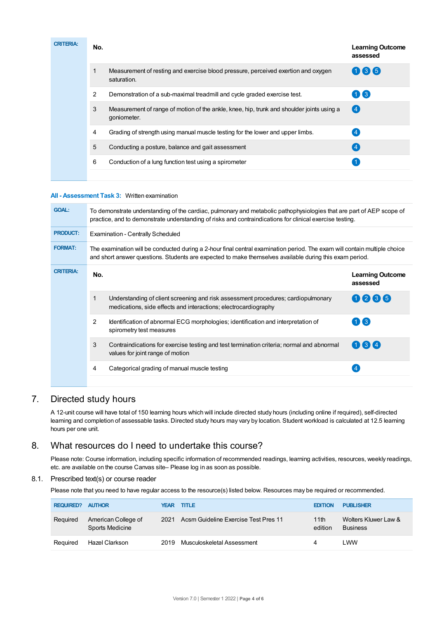| <b>CRITERIA:</b> | No. |                                                                                                          | <b>Learning Outcome</b><br>assessed |
|------------------|-----|----------------------------------------------------------------------------------------------------------|-------------------------------------|
|                  |     | Measurement of resting and exercise blood pressure, perceived exertion and oxygen<br>saturation.         | 066                                 |
|                  | 2   | Demonstration of a sub-maximal treadmill and cycle graded exercise test.                                 | $\bigoplus$ (3)                     |
|                  | 3   | Measurement of range of motion of the ankle, knee, hip, trunk and shoulder joints using a<br>goniometer. | (4)                                 |
|                  | 4   | Grading of strength using manual muscle testing for the lower and upper limbs.                           |                                     |
|                  | 5   | Conducting a posture, balance and gait assessment                                                        |                                     |
|                  | 6   | Conduction of a lung function test using a spirometer                                                    |                                     |
|                  |     |                                                                                                          |                                     |

### **All - Assessment Task 3:** Written examination

| <b>GOAL:</b>     | To demonstrate understanding of the cardiac, pulmonary and metabolic pathophysiologies that are part of AEP scope of<br>practice, and to demonstrate understanding of risks and contraindications for clinical exercise testing.     |                                                                                                                                                      |                                              |  |  |  |
|------------------|--------------------------------------------------------------------------------------------------------------------------------------------------------------------------------------------------------------------------------------|------------------------------------------------------------------------------------------------------------------------------------------------------|----------------------------------------------|--|--|--|
| <b>PRODUCT:</b>  | <b>Examination - Centrally Scheduled</b>                                                                                                                                                                                             |                                                                                                                                                      |                                              |  |  |  |
| <b>FORMAT:</b>   | The examination will be conducted during a 2-hour final central examination period. The exam will contain multiple choice<br>and short answer questions. Students are expected to make themselves available during this exam period. |                                                                                                                                                      |                                              |  |  |  |
| <b>CRITERIA:</b> | No.                                                                                                                                                                                                                                  |                                                                                                                                                      | <b>Learning Outcome</b><br>assessed          |  |  |  |
|                  |                                                                                                                                                                                                                                      | Understanding of client screening and risk assessment procedures; cardiopulmonary<br>medications, side effects and interactions; electrocardiography | 0235                                         |  |  |  |
|                  | $\overline{2}$                                                                                                                                                                                                                       | Identification of abnormal ECG morphologies; identification and interpretation of<br>spirometry test measures                                        | $\blacksquare$ $\blacksquare$ $\blacksquare$ |  |  |  |
|                  | 3                                                                                                                                                                                                                                    | Contraindications for exercise testing and test termination criteria; normal and abnormal<br>values for joint range of motion                        | 1314                                         |  |  |  |
|                  | 4                                                                                                                                                                                                                                    | Categorical grading of manual muscle testing                                                                                                         |                                              |  |  |  |

# 7. Directed study hours

A 12-unit course will have total of 150 learning hours which will include directed study hours (including online if required), self-directed learning and completion of assessable tasks. Directed study hours may vary by location. Student workload is calculated at 12.5 learning hours per one unit.

# 8. What resources do I need to undertake this course?

Please note: Course information, including specific information of recommended readings, learning activities, resources, weekly readings, etc. are available on the course Canvas site– Please log in as soon as possible.

### 8.1. Prescribed text(s) or course reader

Please note that you need to have regular access to the resource(s) listed below. Resources may be required or recommended.

| <b>REQUIRED?</b> | <b>AUTHOR</b>                          |      | <b>YEAR TITLE</b>                    | <b>EDITION</b>  | <b>PUBLISHER</b>                        |
|------------------|----------------------------------------|------|--------------------------------------|-----------------|-----------------------------------------|
| Reguired         | American College of<br>Sports Medicine | 2021 | Acsm Guideline Exercise Test Pres 11 | 11th<br>edition | Wolters Kluwer Law &<br><b>Business</b> |
| Reguired         | Hazel Clarkson                         | 2019 | Musculoskeletal Assessment           | 4               | LWW                                     |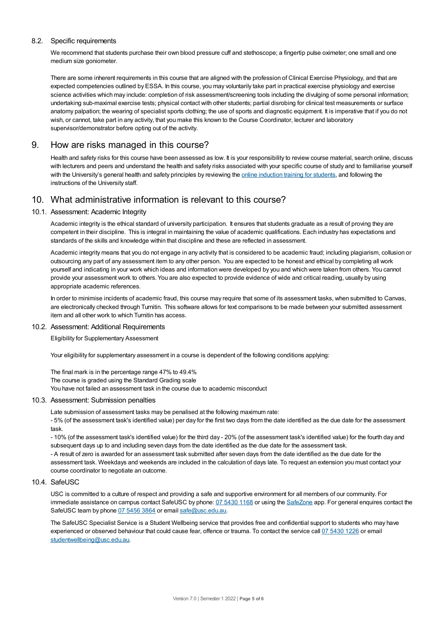### 8.2. Specific requirements

We recommend that students purchase their own blood pressure cuff and stethoscope; a fingertip pulse oximeter; one small and one medium size goniometer.

There are some inherent requirements in this course that are aligned with the profession of Clinical Exercise Physiology, and that are expected competencies outlined by ESSA. In this course, you may voluntarily take part in practical exercise physiology and exercise science activities which may include: completion of risk assessment/screening tools including the divulging of some personal information; undertaking sub-maximal exercise tests; physical contact with other students; partial disrobing for clinical test measurements or surface anatomy palpation; the wearing of specialist sports clothing; the use of sports and diagnostic equipment. It is imperative that if you do not wish, or cannot, take part in any activity, that you make this known to the Course Coordinator, lecturer and laboratory supervisor/demonstrator before opting out of the activity.

# 9. How are risks managed in this course?

Health and safety risks for this course have been assessed as low. It is your responsibility to review course material, search online, discuss with lecturers and peers and understand the health and safety risks associated with your specific course of study and to familiarise yourself with the University's general health and safety principles by reviewing the online [induction](https://online.usc.edu.au/webapps/blackboard/content/listContentEditable.jsp?content_id=_632657_1&course_id=_14432_1) training for students, and following the instructions of the University staff.

# 10. What administrative information is relevant to this course?

### 10.1. Assessment: Academic Integrity

Academic integrity is the ethical standard of university participation. It ensures that students graduate as a result of proving they are competent in their discipline. This is integral in maintaining the value of academic qualifications. Each industry has expectations and standards of the skills and knowledge within that discipline and these are reflected in assessment.

Academic integrity means that you do not engage in any activity that is considered to be academic fraud; including plagiarism, collusion or outsourcing any part of any assessment item to any other person. You are expected to be honest and ethical by completing all work yourself and indicating in your work which ideas and information were developed by you and which were taken from others. You cannot provide your assessment work to others.You are also expected to provide evidence of wide and critical reading, usually by using appropriate academic references.

In order to minimise incidents of academic fraud, this course may require that some of its assessment tasks, when submitted to Canvas, are electronically checked through Turnitin. This software allows for text comparisons to be made between your submitted assessment item and all other work to which Turnitin has access.

### 10.2. Assessment: Additional Requirements

Eligibility for Supplementary Assessment

Your eligibility for supplementary assessment in a course is dependent of the following conditions applying:

The final mark is in the percentage range 47% to 49.4% The course is graded using the Standard Grading scale You have not failed an assessment task in the course due to academic misconduct

### 10.3. Assessment: Submission penalties

Late submission of assessment tasks may be penalised at the following maximum rate:

- 5% (of the assessment task's identified value) per day for the first two days from the date identified as the due date for the assessment task.

- 10% (of the assessment task's identified value) for the third day - 20% (of the assessment task's identified value) for the fourth day and subsequent days up to and including seven days from the date identified as the due date for the assessment task.

- A result of zero is awarded for an assessment task submitted after seven days from the date identified as the due date for the assessment task. Weekdays and weekends are included in the calculation of days late. To request an extension you must contact your course coordinator to negotiate an outcome.

### 10.4. SafeUSC

USC is committed to a culture of respect and providing a safe and supportive environment for all members of our community. For immediate assistance on campus contact SafeUSC by phone: 07 [5430](tel:07%205430%201168) 1168 or using the [SafeZone](https://www.safezoneapp.com) app. For general enquires contact the SafeUSC team by phone 07 [5456](tel:07%205456%203864) 3864 or email [safe@usc.edu.au](mailto:safe@usc.edu.au).

The SafeUSC Specialist Service is a Student Wellbeing service that provides free and confidential support to students who may have experienced or observed behaviour that could cause fear, offence or trauma. To contact the service call 07 [5430](tel:07%205430%201226) 1226 or email [studentwellbeing@usc.edu.au](mailto:studentwellbeing@usc.edu.au).